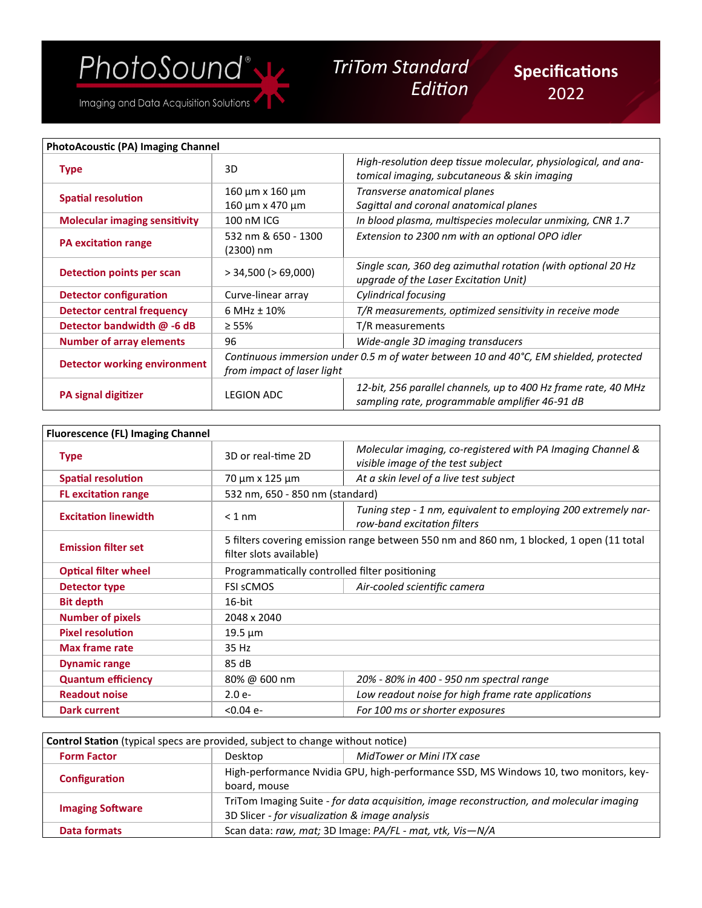## *TriTom Standard*

Imaging and Data Acquisition Solutions

## *Edition*

| <b>PhotoAcoustic (PA) Imaging Channel</b> |                                                                                                                     |                                                                                                                  |
|-------------------------------------------|---------------------------------------------------------------------------------------------------------------------|------------------------------------------------------------------------------------------------------------------|
| <b>Type</b>                               | 3D                                                                                                                  | High-resolution deep tissue molecular, physiological, and ana-<br>tomical imaging, subcutaneous & skin imaging   |
| <b>Spatial resolution</b>                 | 160 μm x 160 μm<br>160 μm x 470 μm                                                                                  | Transverse anatomical planes<br>Sagittal and coronal anatomical planes                                           |
| <b>Molecular imaging sensitivity</b>      | 100 nM ICG                                                                                                          | In blood plasma, multispecies molecular unmixing, CNR 1.7                                                        |
| <b>PA excitation range</b>                | 532 nm & 650 - 1300<br>(2300) nm                                                                                    | Extension to 2300 nm with an optional OPO idler                                                                  |
| Detection points per scan                 | $>$ 34,500 ( $>$ 69,000)                                                                                            | Single scan, 360 deg azimuthal rotation (with optional 20 Hz<br>upgrade of the Laser Excitation Unit)            |
| <b>Detector configuration</b>             | Curve-linear array                                                                                                  | Cylindrical focusing                                                                                             |
| Detector central frequency                | 6 MHz ± 10%                                                                                                         | T/R measurements, optimized sensitivity in receive mode                                                          |
| Detector bandwidth @ -6 dB                | $\geq 55\%$                                                                                                         | T/R measurements                                                                                                 |
| <b>Number of array elements</b>           | 96                                                                                                                  | Wide-angle 3D imaging transducers                                                                                |
| <b>Detector working environment</b>       | Continuous immersion under 0.5 m of water between 10 and 40°C, EM shielded, protected<br>from impact of laser light |                                                                                                                  |
| <b>PA signal digitizer</b>                | <b>LEGION ADC</b>                                                                                                   | 12-bit, 256 parallel channels, up to 400 Hz frame rate, 40 MHz<br>sampling rate, programmable amplifier 46-91 dB |

| <b>Fluorescence (FL) Imaging Channel</b> |                                                                                                                     |                                                                                                 |
|------------------------------------------|---------------------------------------------------------------------------------------------------------------------|-------------------------------------------------------------------------------------------------|
| <b>Type</b>                              | 3D or real-time 2D                                                                                                  | Molecular imaging, co-registered with PA Imaging Channel &<br>visible image of the test subject |
| <b>Spatial resolution</b>                | 70 μm x 125 μm                                                                                                      | At a skin level of a live test subject                                                          |
| <b>FL</b> excitation range               | 532 nm, 650 - 850 nm (standard)                                                                                     |                                                                                                 |
| <b>Excitation linewidth</b>              | $<$ 1 nm                                                                                                            | Tuning step - 1 nm, equivalent to employing 200 extremely nar-<br>row-band excitation filters   |
| <b>Emission filter set</b>               | 5 filters covering emission range between 550 nm and 860 nm, 1 blocked, 1 open (11 total<br>filter slots available) |                                                                                                 |
| <b>Optical filter wheel</b>              | Programmatically controlled filter positioning                                                                      |                                                                                                 |
| Detector type                            | <b>FSI SCMOS</b>                                                                                                    | Air-cooled scientific camera                                                                    |
| <b>Bit depth</b>                         | 16-bit                                                                                                              |                                                                                                 |
| <b>Number of pixels</b>                  | 2048 x 2040                                                                                                         |                                                                                                 |
| <b>Pixel resolution</b>                  | $19.5 \mu m$                                                                                                        |                                                                                                 |
| <b>Max frame rate</b>                    | 35 Hz                                                                                                               |                                                                                                 |
| <b>Dynamic range</b>                     | 85 dB                                                                                                               |                                                                                                 |
| <b>Quantum efficiency</b>                | 80% @ 600 nm                                                                                                        | 20% - 80% in 400 - 950 nm spectral range                                                        |
| <b>Readout noise</b>                     | $2.0e-$                                                                                                             | Low readout noise for high frame rate applications                                              |
| <b>Dark current</b>                      | $< 0.04$ e-                                                                                                         | For 100 ms or shorter exposures                                                                 |

| <b>Control Station</b> (typical specs are provided, subject to change without notice) |                                                                                                                                            |                           |
|---------------------------------------------------------------------------------------|--------------------------------------------------------------------------------------------------------------------------------------------|---------------------------|
| <b>Form Factor</b>                                                                    | Desktop                                                                                                                                    | MidTower or Mini ITX case |
| Configuration                                                                         | High-performance Nvidia GPU, high-performance SSD, MS Windows 10, two monitors, key-<br>board, mouse                                       |                           |
| <b>Imaging Software</b>                                                               | TriTom Imaging Suite - for data acquisition, image reconstruction, and molecular imaging<br>3D Slicer - for visualization & image analysis |                           |
| Data formats                                                                          | Scan data: raw, mat; 3D Image: PA/FL - mat, vtk, Vis-N/A                                                                                   |                           |